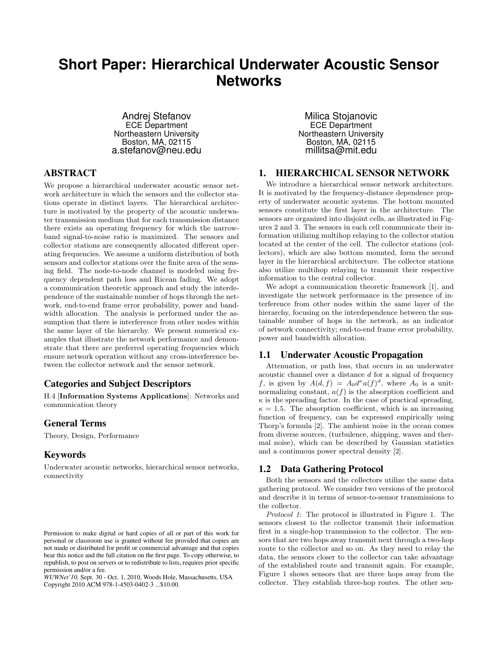# **Short Paper: Hierarchical Underwater Acoustic Sensor Networks**

Andrej Stefanov ECE Department Northeastern University Boston, MA, 02115 a.stefanov@neu.edu

# ABSTRACT

We propose a hierarchical underwater acoustic sensor network architecture in which the sensors and the collector stations operate in distinct layers. The hierarchical architecture is motivated by the property of the acoustic underwater transmission medium that for each transmission distance there exists an operating frequency for which the narrowband signal-to-noise ratio is maximized. The sensors and collector stations are consequently allocated different operating frequencies. We assume a uniform distribution of both sensors and collector stations over the finite area of the sensing field. The node-to-node channel is modeled using frequency dependent path loss and Ricean fading. We adopt a communication theoretic approach and study the interdependence of the sustainable number of hops through the network, end-to-end frame error probability, power and bandwidth allocation. The analysis is performed under the assumption that there is interference from other nodes within the same layer of the hierarchy. We present numerical examples that illustrate the network performance and demonstrate that there are preferred operating frequencies which ensure network operation without any cross-interference between the collector network and the sensor network.

# Categories and Subject Descriptors

H.4 [**Information Systems Applications**]: Networks and communication theory

## General Terms

Theory, Design, Performance

# Keywords

Underwater acoustic networks, hierarchical sensor networks, connectivity

*WUWNet'10,* Sept. 30 - Oct. 1, 2010, Woods Hole, Massachusetts, USA Copyright 2010 ACM 978-1-4503-0402-3 ...\$10.00.

Milica Stojanovic ECE Department Northeastern University Boston, MA, 02115 millitsa@mit.edu

# 1. HIERARCHICAL SENSOR NETWORK

We introduce a hierarchical sensor network architecture. It is motivated by the frequency-distance dependence property of underwater acoustic systems. The bottom mounted sensors constitute the first layer in the architecture. The sensors are organized into disjoint cells, as illustrated in Figures 2 and 3. The sensors in each cell communicate their information utilizing multihop relaying to the collector station located at the center of the cell. The collector stations (collectors), which are also bottom mounted, form the second layer in the hierarchical architecture. The collector stations also utilize multihop relaying to transmit their respective information to the central collector.

We adopt a communication theoretic framework [1], and investigate the network performance in the presence of interference from other nodes within the same layer of the hierarchy, focusing on the interdependence between the sustainable number of hops in the network, as an indicator of network connectivity; end-to-end frame error probability, power and bandwidth allocation.

## 1.1 Underwater Acoustic Propagation

Attenuation, or path loss, that occurs in an underwater acoustic channel over a distance *d* for a signal of frequency *f*, is given by  $A(d, f) = A_0 d^{\kappa} a(f)^d$ , where  $A_0$  is a unitnormalizing constant, *a*(*f*) is the absorption coefficient and  $\kappa$  is the spreading factor. In the case of practical spreading,  $\kappa = 1.5$ . The absorption coefficient, which is an increasing function of frequency, can be expressed empirically using Thorp's formula [2]. The ambient noise in the ocean comes from diverse sources, (turbulence, shipping, waves and thermal noise), which can be described by Gaussian statistics and a continuous power spectral density [2].

## 1.2 Data Gathering Protocol

Both the sensors and the collectors utilize the same data gathering protocol. We consider two versions of the protocol and describe it in terms of sensor-to-sensor transmissions to the collector.

*Protocol 1*: The protocol is illustrated in Figure 1. The sensors closest to the collector transmit their information first in a single-hop transmission to the collector. The sensors that are two hops away transmit next through a two-hop route to the collector and so on. As they need to relay the data, the sensors closer to the collector can take advantage of the established route and transmit again. For example, Figure 1 shows sensors that are three hops away from the collector. They establish three-hop routes. The other sen-

Permission to make digital or hard copies of all or part of this work for personal or classroom use is granted without fee provided that copies are not made or distributed for profit or commercial advantage and that copies bear this notice and the full citation on the first page. To copy otherwise, to republish, to post on servers or to redistribute to lists, requires prior specific permission and/or a fee.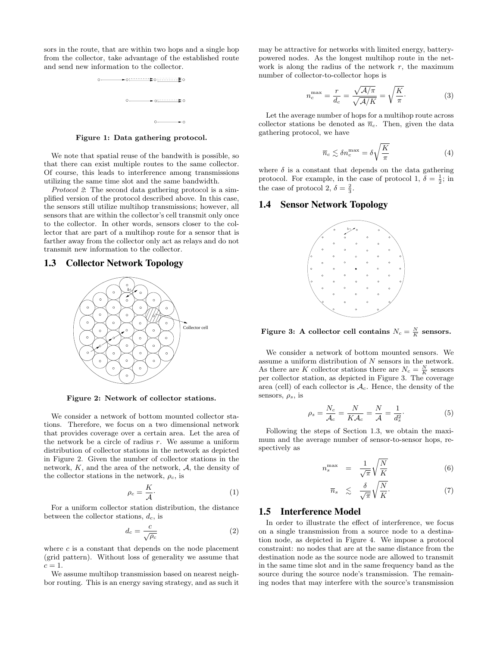sors in the route, that are within two hops and a single hop from the collector, take advantage of the established route and send new information to the collector.



**Figure 1: Data gathering protocol.**

We note that spatial reuse of the bandwith is possible, so that there can exist multiple routes to the same collector. Of course, this leads to interference among transmissions utilizing the same time slot and the same bandwidth.

*Protocol 2*: The second data gathering protocol is a simplified version of the protocol described above. In this case, the sensors still utilize multihop transmissions; however, all sensors that are within the collector's cell transmit only once to the collector. In other words, sensors closer to the collector that are part of a multihop route for a sensor that is farther away from the collector only act as relays and do not transmit new information to the collector.

#### 1.3 Collector Network Topology



**Figure 2: Network of collector stations.**

We consider a network of bottom mounted collector stations. Therefore, we focus on a two dimensional network that provides coverage over a certain area. Let the area of the network be a circle of radius *r*. We assume a uniform distribution of collector stations in the network as depicted in Figure 2. Given the number of collector stations in the network, *K*, and the area of the network, *A*, the density of the collector stations in the network,  $\rho_c$ , is

$$
\rho_c = \frac{K}{\mathcal{A}}.\tag{1}
$$

For a uniform collector station distribution, the distance between the collector stations, *dc*, is

$$
d_c = \frac{c}{\sqrt{\rho_c}}\tag{2}
$$

where  $c$  is a constant that depends on the node placement (grid pattern). Without loss of generality we assume that  $c=1$ .

We assume multihop transmission based on nearest neighbor routing. This is an energy saving strategy, and as such it may be attractive for networks with limited energy, batterypowered nodes. As the longest multihop route in the network is along the radius of the network  $r$ , the maximum number of collector-to-collector hops is

$$
n_c^{\text{max}} = \frac{r}{d_c} = \frac{\sqrt{\mathcal{A}/\pi}}{\sqrt{\mathcal{A}/K}} = \sqrt{\frac{K}{\pi}}.
$$
 (3)

Let the average number of hops for a multihop route across collector stations be denoted as  $\overline{n}_c$ . Then, given the data gathering protocol, we have

$$
\overline{n}_c \lesssim \delta n_c^{\text{max}} = \delta \sqrt{\frac{K}{\pi}} \tag{4}
$$

where  $\delta$  is a constant that depends on the data gathering protocol. For example, in the case of protocol 1,  $\delta = \frac{1}{2}$ ; in the case of protocol 2,  $\delta = \frac{2}{3}$ .

## 1.4 Sensor Network Topology



**Figure 3:** A collector cell contains  $N_c = \frac{N}{K}$  sensors.

We consider a network of bottom mounted sensors. We assume a uniform distribution of *N* sensors in the network. As there are *K* collector stations there are  $N_c = \frac{N}{K}$  sensors per collector station, as depicted in Figure 3. The coverage area (cell) of each collector is *Ac*. Hence, the density of the sensors, *ρs*, is

$$
\rho_s = \frac{N_c}{\mathcal{A}_c} = \frac{N}{K\mathcal{A}_c} = \frac{N}{\mathcal{A}} = \frac{1}{d_s^2}.
$$
\n(5)

Following the steps of Section 1.3, we obtain the maximum and the average number of sensor-to-sensor hops, respectively as

$$
n_s^{\max} = \frac{1}{\sqrt{\pi}} \sqrt{\frac{N}{K}} \tag{6}
$$

$$
\overline{n}_s \leq \frac{\delta}{\sqrt{\pi}} \sqrt{\frac{N}{K}}.
$$
 (7)

# 1.5 Interference Model

In order to illustrate the effect of interference, we focus on a single transmission from a source node to a destination node, as depicted in Figure 4. We impose a protocol constraint: no nodes that are at the same distance from the destination node as the source node are allowed to transmit in the same time slot and in the same frequency band as the source during the source node's transmission. The remaining nodes that may interfere with the source's transmission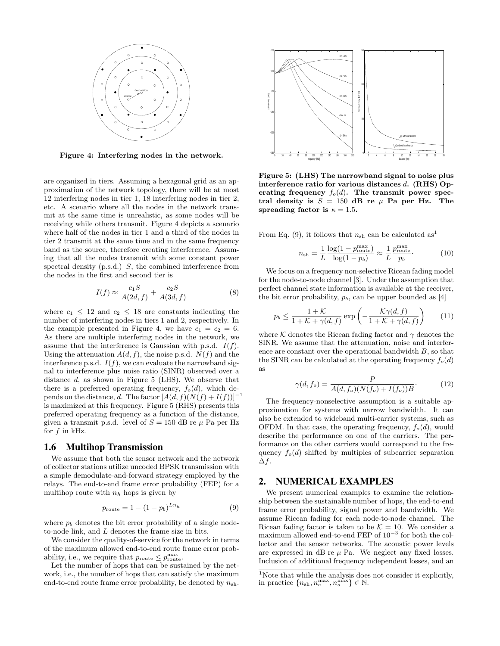

**Figure 4: Interfering nodes in the network.**

are organized in tiers. Assuming a hexagonal grid as an approximation of the network topology, there will be at most 12 interfering nodes in tier 1, 18 interfering nodes in tier 2, etc. A scenario where all the nodes in the network transmit at the same time is unrealistic, as some nodes will be receiving while others transmit. Figure 4 depicts a scenario where half of the nodes in tier 1 and a third of the nodes in tier 2 transmit at the same time and in the same frequency band as the source, therefore creating interference. Assuming that all the nodes transmit with some constant power spectral density (p.s.d.) *S*, the combined interference from the nodes in the first and second tier is

$$
I(f) \approx \frac{c_1 S}{A(2d, f)} + \frac{c_2 S}{A(3d, f)}
$$
(8)

where  $c_1 \leq 12$  and  $c_2 \leq 18$  are constants indicating the number of interfering nodes in tiers 1 and 2, respectively. In the example presented in Figure 4, we have  $c_1 = c_2 = 6$ . As there are multiple interfering nodes in the network, we assume that the interference is Gaussian with p.s.d.  $I(f)$ . Using the attenuation  $A(d, f)$ , the noise p.s.d.  $N(f)$  and the interference p.s.d.  $I(f)$ , we can evaluate the narrowband signal to interference plus noise ratio (SINR) observed over a distance *d*, as shown in Figure 5 (LHS). We observe that there is a preferred operating frequency,  $f_o(d)$ , which depends on the distance, *d*. The factor  $[A(d, f)(N(f) + I(f))]^{-1}$ is maximized at this frequency. Figure 5 (RHS) presents this preferred operating frequency as a function of the distance, given a transmit p.s.d. level of  $S = 150$  dB re  $\mu$  Pa per Hz for *f* in kHz.

#### 1.6 Multihop Transmission

We assume that both the sensor network and the network of collector stations utilize uncoded BPSK transmission with a simple demodulate-and-forward strategy employed by the relays. The end-to-end frame error probability (FEP) for a multihop route with  $n_h$  hops is given by

$$
p_{\text{route}} = 1 - (1 - p_b)^{Ln_h} \tag{9}
$$

where  $p_b$  denotes the bit error probability of a single nodeto-node link, and *L* denotes the frame size in bits.

We consider the quality-of-service for the network in terms of the maximum allowed end-to-end route frame error probability, i.e., we require that  $p_{\text{route}} \leq p_{\text{route}}^{\max}$ .

Let the number of hops that can be sustained by the network, i.e., the number of hops that can satisfy the maximum end-to-end route frame error probability, be denoted by  $n_{\text{sh}}$ .



**Figure 5: (LHS) The narrowband signal to noise plus interference ratio for various distances** *d***. (RHS) Op**erating frequency  $f_o(d)$ . The transmit power spec**tral density is**  $S = 150$  **dB** re  $\mu$  **Pa per Hz.** The **spreading factor is**  $\kappa = 1.5$ **.** 

From Eq. (9), it follows that  $n_{sh}$  can be calculated as<sup>1</sup>

$$
n_{\rm sh} = \frac{1}{L} \frac{\log(1 - p_{\rm route}^{\rm max})}{\log(1 - p_b)} \approx \frac{1}{L} \frac{p_{\rm route}^{\rm max}}{p_b}.
$$
 (10)

We focus on a frequency non-selective Ricean fading model for the node-to-node channel [3]. Under the assumption that perfect channel state information is available at the receiver, the bit error probability,  $p_b$ , can be upper bounded as [4]

$$
p_b \le \frac{1+\mathcal{K}}{1+\mathcal{K}+\gamma(d,f)} \exp\left(-\frac{\mathcal{K}\gamma(d,f)}{1+\mathcal{K}+\gamma(d,f)}\right) \tag{11}
$$

where  $K$  denotes the Ricean fading factor and  $\gamma$  denotes the SINR. We assume that the attenuation, noise and interference are constant over the operational bandwidth *B*, so that the SINR can be calculated at the operating frequency  $f_o(d)$ as

$$
\gamma(d, f_o) = \frac{P}{A(d, f_o)(N(f_o) + I(f_o))B}.
$$
\n(12)

The frequency-nonselective assumption is a suitable approximation for systems with narrow bandwidth. It can also be extended to wideband multi-carrier systems, such as OFDM. In that case, the operating frequency,  $f_o(d)$ , would describe the performance on one of the carriers. The performance on the other carriers would correspond to the frequency  $f_o(d)$  shifted by multiples of subcarrier separation ∆*f*.

# 2. NUMERICAL EXAMPLES

We present numerical examples to examine the relationship between the sustainable number of hops, the end-to-end frame error probability, signal power and bandwidth. We assume Ricean fading for each node-to-node channel. The Ricean fading factor is taken to be  $K = 10$ . We consider a maximum allowed end-to-end FEP of 10*−*<sup>3</sup> for both the collector and the sensor networks. The acoustic power levels are expressed in  $\text{dB}$  re  $\mu$  Pa. We neglect any fixed losses. Inclusion of additional frequency independent losses, and an

<sup>&</sup>lt;sup>1</sup>Note that while the analysis does not consider it explicitly, in practice  ${n_{\rm sh}, n_c^{\rm max}, n_s^{\rm max}} \in \mathbb{N}$ .